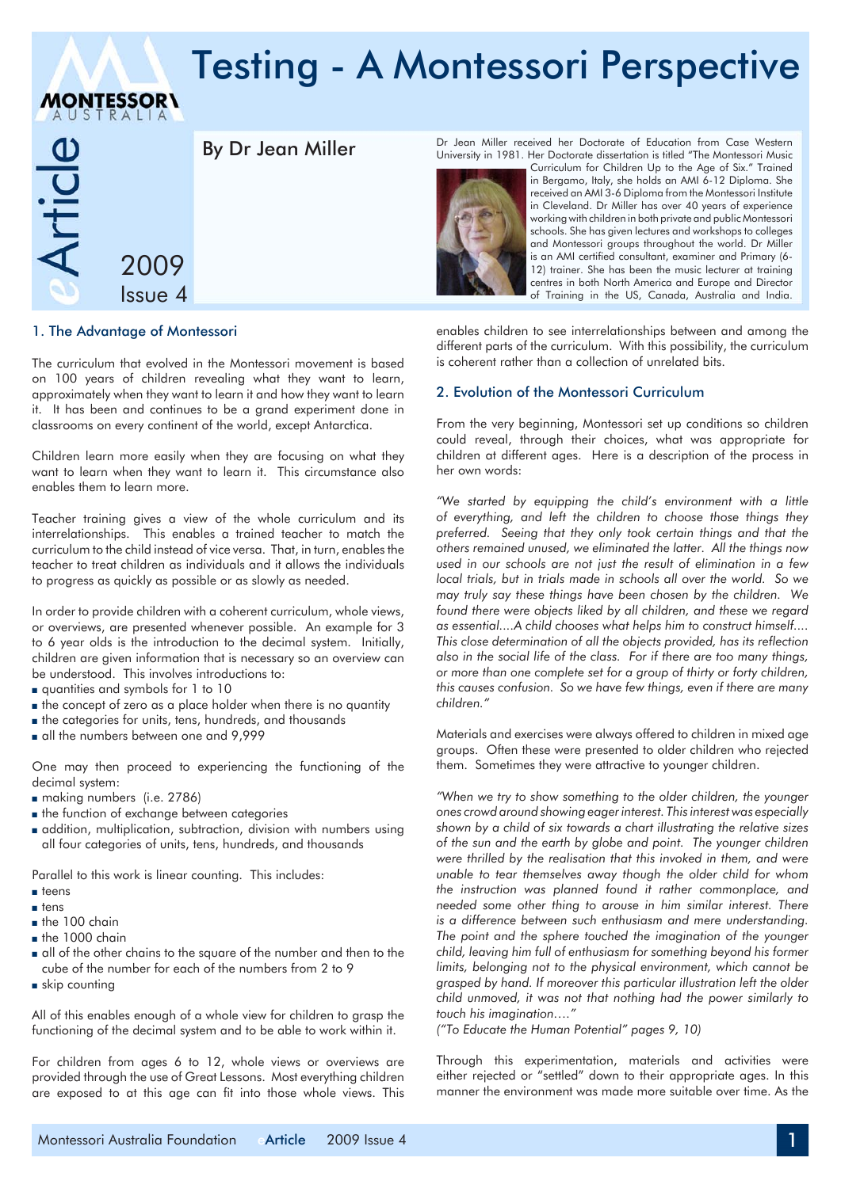# Testing - A Montessori Perspective



**MONTESSOR\** 

## By Dr Jean Miller

1. The Advantage of Montessori

The curriculum that evolved in the Montessori movement is based on 100 years of children revealing what they want to learn, approximately when they want to learn it and how they want to learn it. It has been and continues to be a grand experiment done in classrooms on every continent of the world, except Antarctica.

Children learn more easily when they are focusing on what they want to learn when they want to learn it. This circumstance also enables them to learn more.

Teacher training gives a view of the whole curriculum and its interrelationships. This enables a trained teacher to match the curriculum to the child instead of vice versa. That, in turn, enables the teacher to treat children as individuals and it allows the individuals to progress as quickly as possible or as slowly as needed.

In order to provide children with a coherent curriculum, whole views, or overviews, are presented whenever possible. An example for 3 to 6 year olds is the introduction to the decimal system. Initially, children are given information that is necessary so an overview can be understood. This involves introductions to:

- <sup>n</sup> quantities and symbols for 1 to 10
- $\blacksquare$  the concept of zero as a place holder when there is no quantity
- <sup>n</sup> the categories for units, tens, hundreds, and thousands
- all the numbers between one and 9,999

One may then proceed to experiencing the functioning of the decimal system:

- n making numbers (i.e. 2786)
- $\blacksquare$  the function of exchange between categories
- <sup>n</sup> addition, multiplication, subtraction, division with numbers using all four categories of units, tens, hundreds, and thousands

Parallel to this work is linear counting. This includes:

- <sup>n</sup> teens
- $n$  tens
- $n$  the 100 chain
- $h$  the 1000 chain
- n all of the other chains to the square of the number and then to the cube of the number for each of the numbers from 2 to 9
- $s$ kip counting

All of this enables enough of a whole view for children to grasp the functioning of the decimal system and to be able to work within it.

For children from ages 6 to 12, whole views or overviews are provided through the use of Great Lessons. Most everything children are exposed to at this age can fit into those whole views. This

Dr Jean Miller received her Doctorate of Education from Case Western University in 1981. Her Doctorate dissertation is titled "The Montessori Music



Curriculum for Children Up to the Age of Six." Trained in Bergamo, Italy, she holds an AMI 6-12 Diploma. She received an AMI 3-6 Diploma from the Montessori Institute in Cleveland. Dr Miller has over 40 years of experience working with children in both private and public Montessori schools. She has given lectures and workshops to colleges and Montessori groups throughout the world. Dr Miller is an AMI certified consultant, examiner and Primary (6- 12) trainer. She has been the music lecturer at training centres in both North America and Europe and Director of Training in the US, Canada, Australia and India.

enables children to see interrelationships between and among the different parts of the curriculum. With this possibility, the curriculum is coherent rather than a collection of unrelated bits.

#### 2. Evolution of the Montessori Curriculum

From the very beginning, Montessori set up conditions so children could reveal, through their choices, what was appropriate for children at different ages. Here is a description of the process in her own words:

*"We started by equipping the child's environment with a little of everything, and left the children to choose those things they preferred. Seeing that they only took certain things and that the others remained unused, we eliminated the latter. All the things now used in our schools are not just the result of elimination in a few local trials, but in trials made in schools all over the world. So we may truly say these things have been chosen by the children. We found there were objects liked by all children, and these we regard as essential....A child chooses what helps him to construct himself.... This close determination of all the objects provided, has its reflection also in the social life of the class. For if there are too many things, or more than one complete set for a group of thirty or forty children, this causes confusion. So we have few things, even if there are many children."* 

Materials and exercises were always offered to children in mixed age groups. Often these were presented to older children who rejected them. Sometimes they were attractive to younger children.

*"When we try to show something to the older children, the younger ones crowd around showing eager interest. This interest was especially shown by a child of six towards a chart illustrating the relative sizes of the sun and the earth by globe and point. The younger children were thrilled by the realisation that this invoked in them, and were unable to tear themselves away though the older child for whom the instruction was planned found it rather commonplace, and needed some other thing to arouse in him similar interest. There is a difference between such enthusiasm and mere understanding. The point and the sphere touched the imagination of the younger child, leaving him full of enthusiasm for something beyond his former limits, belonging not to the physical environment, which cannot be grasped by hand. If moreover this particular illustration left the older child unmoved, it was not that nothing had the power similarly to touch his imagination…."* 

*("To Educate the Human Potential" pages 9, 10)*

Through this experimentation, materials and activities were either rejected or "settled" down to their appropriate ages. In this manner the environment was made more suitable over time. As the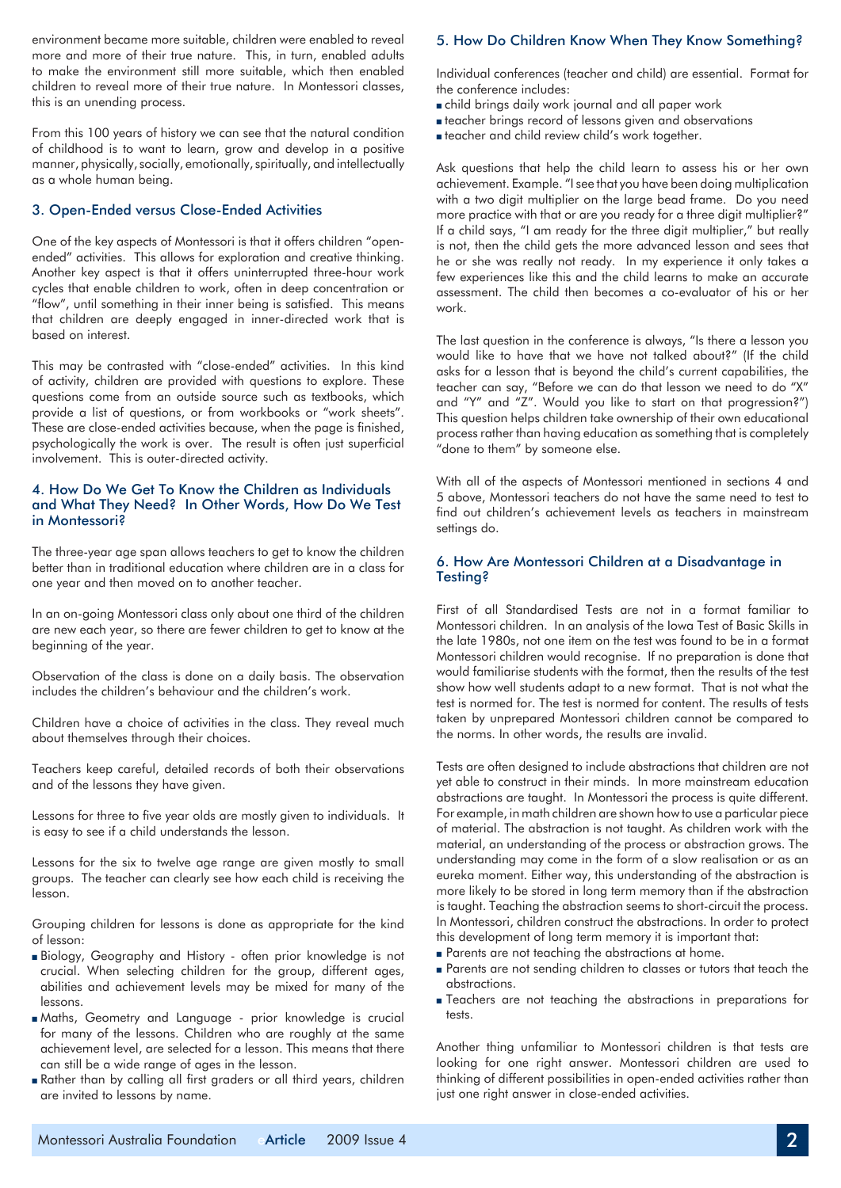environment became more suitable, children were enabled to reveal more and more of their true nature. This, in turn, enabled adults to make the environment still more suitable, which then enabled children to reveal more of their true nature. In Montessori classes, this is an unending process.

From this 100 years of history we can see that the natural condition of childhood is to want to learn, grow and develop in a positive manner, physically, socially, emotionally, spiritually, and intellectually as a whole human being.

#### 3. Open-Ended versus Close-Ended Activities

One of the key aspects of Montessori is that it offers children "openended" activities. This allows for exploration and creative thinking. Another key aspect is that it offers uninterrupted three-hour work cycles that enable children to work, often in deep concentration or "flow", until something in their inner being is satisfied. This means that children are deeply engaged in inner-directed work that is based on interest.

This may be contrasted with "close-ended" activities. In this kind of activity, children are provided with questions to explore. These questions come from an outside source such as textbooks, which provide a list of questions, or from workbooks or "work sheets". These are close-ended activities because, when the page is finished, psychologically the work is over. The result is often just superficial involvement. This is outer-directed activity.

#### 4. How Do We Get To Know the Children as Individuals and What They Need? In Other Words, How Do We Test in Montessori?

The three-year age span allows teachers to get to know the children better than in traditional education where children are in a class for one year and then moved on to another teacher.

In an on-going Montessori class only about one third of the children are new each year, so there are fewer children to get to know at the beginning of the year.

Observation of the class is done on a daily basis. The observation includes the children's behaviour and the children's work.

Children have a choice of activities in the class. They reveal much about themselves through their choices.

Teachers keep careful, detailed records of both their observations and of the lessons they have given.

Lessons for three to five year olds are mostly given to individuals. It is easy to see if a child understands the lesson.

Lessons for the six to twelve age range are given mostly to small groups. The teacher can clearly see how each child is receiving the lesson.

Grouping children for lessons is done as appropriate for the kind of lesson:

- <sup>n</sup> Biology, Geography and History often prior knowledge is not crucial. When selecting children for the group, different ages, abilities and achievement levels may be mixed for many of the lessons.
- <sup>n</sup> Maths, Geometry and Language prior knowledge is crucial for many of the lessons. Children who are roughly at the same achievement level, are selected for a lesson. This means that there can still be a wide range of ages in the lesson.
- <sup>n</sup> Rather than by calling all first graders or all third years, children are invited to lessons by name.

### 5. How Do Children Know When They Know Something?

Individual conferences (teacher and child) are essential. Format for the conference includes:

- <sup>n</sup> child brings daily work journal and all paper work
- <sup>n</sup> teacher brings record of lessons given and observations
- <sup>n</sup> teacher and child review child's work together.

Ask questions that help the child learn to assess his or her own achievement. Example. "I see that you have been doing multiplication with a two digit multiplier on the large bead frame. Do you need more practice with that or are you ready for a three digit multiplier?" If a child says, "I am ready for the three digit multiplier," but really is not, then the child gets the more advanced lesson and sees that he or she was really not ready. In my experience it only takes a few experiences like this and the child learns to make an accurate assessment. The child then becomes a co-evaluator of his or her work.

The last question in the conference is always, "Is there a lesson you would like to have that we have not talked about?" (If the child asks for a lesson that is beyond the child's current capabilities, the teacher can say, "Before we can do that lesson we need to do "X" and "Y" and "Z". Would you like to start on that progression?") This question helps children take ownership of their own educational process rather than having education as something that is completely "done to them" by someone else.

With all of the aspects of Montessori mentioned in sections 4 and 5 above, Montessori teachers do not have the same need to test to find out children's achievement levels as teachers in mainstream settings do.

#### 6. How Are Montessori Children at a Disadvantage in Testing?

First of all Standardised Tests are not in a format familiar to Montessori children. In an analysis of the Iowa Test of Basic Skills in the late 1980s, not one item on the test was found to be in a format Montessori children would recognise. If no preparation is done that would familiarise students with the format, then the results of the test show how well students adapt to a new format. That is not what the test is normed for. The test is normed for content. The results of tests taken by unprepared Montessori children cannot be compared to the norms. In other words, the results are invalid.

Tests are often designed to include abstractions that children are not yet able to construct in their minds. In more mainstream education abstractions are taught. In Montessori the process is quite different. For example, in math children are shown how to use a particular piece of material. The abstraction is not taught. As children work with the material, an understanding of the process or abstraction grows. The understanding may come in the form of a slow realisation or as an eureka moment. Either way, this understanding of the abstraction is more likely to be stored in long term memory than if the abstraction is taught. Teaching the abstraction seems to short-circuit the process. In Montessori, children construct the abstractions. In order to protect this development of long term memory it is important that:

- **n** Parents are not teaching the abstractions at home.
- n Parents are not sending children to classes or tutors that teach the abstractions.
- <sup>n</sup> Teachers are not teaching the abstractions in preparations for tests.

Another thing unfamiliar to Montessori children is that tests are looking for one right answer. Montessori children are used to thinking of different possibilities in open-ended activities rather than just one right answer in close-ended activities.